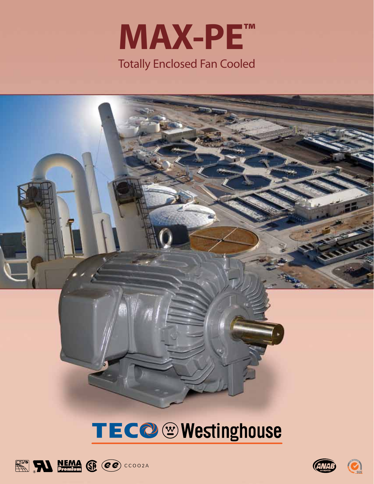



# TECO @ Westinghouse





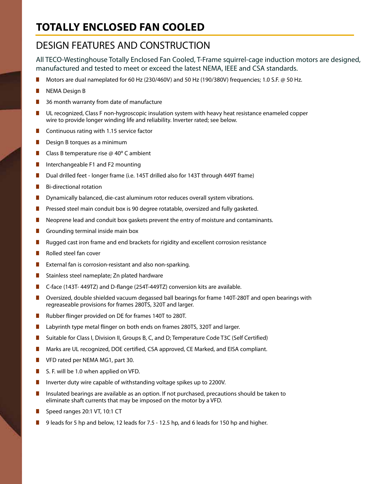### **Totally enclosed fan Cooled**

#### DESIGN FEATURES AND CONSTRUCTION

All TECO-Westinghouse Totally Enclosed Fan Cooled, T-Frame squirrel-cage induction motors are designed, manufactured and tested to meet or exceed the latest NEMA, IEEE and CSA standards.

- Motors are dual nameplated for 60 Hz (230/460V) and 50 Hz (190/380V) frequencies; 1.0 S.F. @ 50 Hz.
- **NEMA Design B**
- $\blacksquare$  36 month warranty from date of manufacture
- **n** UL recognized, Class F non-hygroscopic insulation system with heavy heat resistance enameled copper wire to provide longer winding life and reliability. Inverter rated; see below.
- $\blacksquare$  Continuous rating with 1.15 service factor
- $\blacksquare$  Design B torques as a minimum
- **n** Class B temperature rise @  $40^{\circ}$  C ambient
- Interchangeable F1 and F2 mounting
- **n** Dual drilled feet longer frame (i.e. 145T drilled also for 143T through 449T frame)
- $\blacksquare$  Bi-directional rotation
- **n** Dynamically balanced, die-cast aluminum rotor reduces overall system vibrations.
- **n** Pressed steel main conduit box is 90 degree rotatable, oversized and fully gasketed.
- $\blacksquare$  Neoprene lead and conduit box gaskets prevent the entry of moisture and contaminants.
- Grounding terminal inside main box
- **n** Rugged cast iron frame and end brackets for rigidity and excellent corrosion resistance
- Rolled steel fan cover
- External fan is corrosion-resistant and also non-sparking.
- Stainless steel nameplate; Zn plated hardware
- C-face (143T-449TZ) and D-flange (254T-449TZ) conversion kits are available.
- **n** Oversized, double shielded vacuum degassed ball bearings for frame 140T-280T and open bearings with regreaseable provisions for frames 280TS, 320T and larger.
- Rubber flinger provided on DE for frames 140T to 280T.
- **n** Labyrinth type metal flinger on both ends on frames 280TS, 320T and larger.
- Suitable for Class I, Division II, Groups B, C, and D; Temperature Code T3C (Self Certified)
- **n** Marks are UL recognized, DOE certified, CSA approved, CE Marked, and EISA compliant.
- **No VFD rated per NEMA MG1, part 30.**
- S. F. will be 1.0 when applied on VFD.
- **n** Inverter duty wire capable of withstanding voltage spikes up to 2200V.
- **n** Insulated bearings are available as an option. If not purchased, precautions should be taken to eliminate shaft currents that may be imposed on the motor by a VFD.
- $\blacksquare$  Speed ranges 20:1 VT, 10:1 CT
- 9 leads for 5 hp and below, 12 leads for 7.5 12.5 hp, and 6 leads for 150 hp and higher.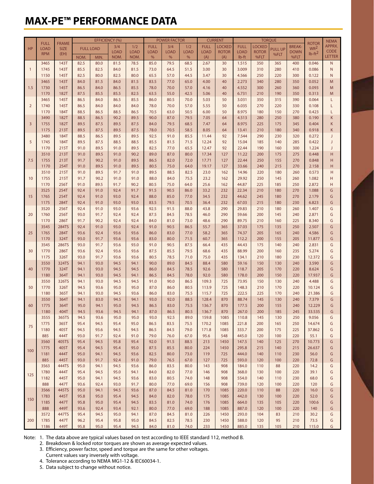#### **MAX-PE™ PERFORMANCE DATA**

|                |                           |                     | <b>EFFICIENCY (%)</b> |              |              |              |              | <b>POWER FACTOR</b> |              | <b>CURRENT</b> |               | <b>TORQUE</b>  |               |                        |               |                                 | <b>NEMA</b>   |
|----------------|---------------------------|---------------------|-----------------------|--------------|--------------|--------------|--------------|---------------------|--------------|----------------|---------------|----------------|---------------|------------------------|---------------|---------------------------------|---------------|
| HP             | <b>FULL</b>               | <b>FRAME</b>        | <b>FULL LOAD</b>      |              | 3/4          | 1/2          | <b>FULL</b>  | 3/4                 | 1/2          | <b>FULL</b>    | <b>LOCKED</b> | <b>FULL</b>    | <b>LOCKED</b> |                        | <b>BREAK-</b> | <b>ROTOR</b><br>WR <sup>2</sup> | APPRX.        |
|                | <b>LOAD</b><br><b>RPM</b> | <b>SIZE</b><br>(EH) |                       |              | <b>LOAD</b>  | <b>LOAD</b>  | <b>LOAD</b>  | <b>LOAD</b>         | <b>LOAD</b>  | <b>LOAD</b>    | <b>ROTOR</b>  | <b>LOAD</b>    | <b>ROTOR</b>  | <b>PULL UP</b><br>%FLT | <b>DOWN</b>   | $Ib-ft^2$                       | <b>CODE</b>   |
|                |                           |                     | NOM.                  | MIN.         | NOM.         | NOM.         | %            | %                   | %            | (A)            | (A)           | lb-ft          | %FLT          |                        | %FLT          |                                 | <b>LETTER</b> |
|                | 3465                      | 143T                | 82.5                  | 80.0         | 81.5         | 78.5         | 85.0         | 79.5                | 68.5         | 2.67           | 30            | 1.515          | 350           | 365                    | 400           | 0.046                           | $\mathsf{N}$  |
| $\overline{1}$ | 1745                      | 143T                | 85.5                  | 82.5         | 84.0         | 81.5         | 73.0         | 64.5                | 51.5         | 3.00           | 30            | 3.009          | 310           | 280                    | 410           | 0.086                           | $\mathsf{N}$  |
|                | 1150                      | 145T                | 82.5                  | 80.0         | 82.5         | 80.0         | 65.5         | 57.0                | 44.5         | 3.47           | 30            | 4.566          | 250           | 220                    | 300           | 0.122                           | $\mathsf{N}$  |
| 1.5            | 3465                      | 143T                | 84.0                  | 81.5         | 84.0         | 81.5         | 83.5         | 77.0                | 65.0         | 4.00           | 40            | 2.273          | 340           | 280                    | 350           | 0.052                           | M             |
|                | 1730                      | 145T                | 86.5                  | 84.0         | 86.5         | 85.5         | 78.0         | 70.0                | 57.0         | 4.16           | 40            | 4.552          | 300           | 260                    | 360           | 0.093                           | M             |
|                | 1170                      | 182T                | 87.5                  | 85.5         | 85.5         | 82.5         | 63.5         | 55.0                | 42.5         | 5.06           | 40            | 6.731          | 210           | 190                    | 350           | 0.313                           | M             |
|                | 3465                      | 145T                | 86.5                  | 84.0         | 86.5         | 85.5         | 86.0         | 80.5                | 70.0         | 5.03           | 50            | 3.031          | 350           | 315                    | 390           | 0.064                           | L             |
| $\overline{2}$ | 1740                      | 145T                | 86.5                  | 84.0         | 84.0         | 84.0         | 78.0         | 70.0                | 57.0         | 5.55           | 50            | 6.035          | 270           | 220                    | 330           | 0.108                           | L             |
|                | 1170                      | 184T                | 88.5                  | 86.5         | 88.5         | 86.5         | 70.5         | 63.0                | 50.5         | 6.00           | 50            | 8.975          | 180           | 150                    | 270           | 0.423                           | L             |
| $\overline{3}$ | 3490                      | 182T                | 88.5                  | 86.5         | 90.2         | 89.5         | 90.0         | 87.0                | 79.5         | 7.05           | 64            | 4.513          | 280           | 250                    | 380           | 0.190                           | K             |
|                | 1755                      | 182T                | 89.5                  | 87.5         | 89.5         | 87.5         | 84.0         | 79.5                | 68.5         | 7.47           | 64            | 8.975          | 225           | 175                    | 345           | 0.404                           | К             |
|                | 1175                      | 213T                | 89.5                  | 87.5         | 89.5         | 87.5         | 78.0         | 70.5                | 58.5         | 8.05           | 64            | 13.41          | 210           | 180                    | 340           | 0.918                           | К             |
| 5              | 3480                      | 184T                | 88.5                  | 86.5         | 89.5         | 89.5         | 92.5         | 91.0                | 85.5         | 11.44          | 92            | 7.544          | 290           | 230                    | 320           | 0.272                           | J             |
|                | 1745                      | 184T                | 89.5                  | 87.5         | 88.5         | 88.5         | 85.5         | 81.5                | 71.5         | 12.24          | 92            | 15.04          | 185           | 140                    | 285           | 0.422                           | J             |
|                | 1170                      | 215T                | 91.0                  | 89.5         | 91.0         | 89.5         | 82.5         | 77.0                | 65.5         | 12.47          | 92            | 22.44          | 190           | 160                    | 300           | 1.224                           | J             |
| 7.5            | 3510                      | 213T                | 91.0                  | 89.5         | 91.0         | 90.2         | 89.0         | 87.0                | 80.0         | 17.34          | 127           | 11.22          | 200           | 175                    | 275           | 0.448                           | H             |
|                | 1755                      | 213T                | 91.7                  | 90.2         | 91.0         | 89.5         | 86.5         | 82.0                | 72.0         | 17.71          | 127           | 22.44          | 250           | 155                    | 270           | 0.848                           | н             |
|                | 1170                      | 254T                | 91.0                  | 89.5         | 91.0         | 89.5         | 80.5         | 75.0                | 64.0         | 19.17          | 127           | 33.66          | 240           | 215                    | 270           | 2.158                           | Н             |
| 10             | 3510                      | 215T                | 91.0                  | 89.5         | 91.7         | 91.0         | 89.5         | 88.5                | 82.5         | 23.0           | 162           | 14.96          | 220           | 180                    | 260           | 0.573                           | Н             |
|                | 1755                      | 215T                | 91.7                  | 90.2         | 91.0         | 91.0         | 88.0         | 84.0                | 75.5         | 23.2           | 162           | 29.92          | 250           | 145                    | 260           | 1.082                           | Н             |
|                | 1170                      | 256T                | 91.0                  | 89.5         | 91.7         | 90.2         | 80.5         | 75.0                | 64.0         | 25.6           | 162           | 44.87          | 225           | 185                    | 250           | 2.872                           | н             |
| 15             | 3525                      | 254T                | 92.4                  | 91.0         | 92.4         | 91.7         | 91.5         | 90.5                | 86.0         | 33.2           | 232           | 22.34          | 210           | 180                    | 270           | 1.088                           | G<br>G        |
|                | 1765<br>1175              | 254T                | 92.4                  | 91.0         | 93.0         | 92.4         | 88.0         | 85.0                | 77.0         | 34.5           | 232<br>232    | 44.62          | 245           | 180                    | 270           | 2.179                           |               |
|                |                           | 284T<br>256T        | 92.4<br>92.4          | 91.0         | 93.0         | 93.0         | 83.5<br>92.5 | 79.5<br>91.5        | 70.5<br>88.0 | 36.4           | 290           | 67.03<br>29.83 | 215           | 180                    | 230           | 6.823                           | G<br>G        |
| 20             | 3520<br>1760              | 256T                | 93.0                  | 91.0<br>91.7 | 93.0<br>92.4 | 93.6<br>92.4 | 87.5         | 84.5                | 78.5         | 43.8<br>46.0   | 290           | 59.66          | 210<br>200    | 180<br>145             | 260<br>240    | 1.407<br>2.871                  | G             |
|                | 1170                      | 286T                | 91.7                  | 90.2         | 92.4         | 92.4         | 84.0         | 81.0                | 73.0         | 48.6           | 290           | 89.75          | 210           | 160                    | 225           | 8.340                           | G             |
|                | 3545                      | <b>284TS</b>        | 92.4                  | 91.0         | 93.0         | 92.4         | 91.0         | 90.5                | 86.5         | 55.7           | 365           | 37.03          | 175           | 135                    | 250           | 2.507                           | G             |
| 25             | 1765                      | 284T                | 93.6                  | 92.4         | 93.6         | 93.6         | 86.0         | 83.0                | 77.0         | 58.2           | 365           | 74.37          | 205           | 165                    | 240           | 4.586                           | G             |
|                | 1170                      | 324T                | 93.0                  | 91.7         | 93.6         | 93.6         | 83.0         | 80.0                | 71.5         | 60.7           | 365           | 112.2          | 200           | 155                    | 205           | 11.877                          | G             |
|                | 3545                      | 286TS               | 93.0                  | 91.7         | 93.6         | 93.0         | 91.0         | 90.5                | 87.5         | 66.4           | 435           | 44.43          | 175           | 140                    | 240           | 2.831                           | G             |
| 30             | 1770                      | 286T                | 93.6                  | 92.4         | 93.6         | 93.6         | 87.5         | 85.5                | 79.5         | 68.6           | 435           | 88.99          | 200           | 160                    | 235           | 5.274                           | G             |
|                | 1175                      | 326T                | 93.0                  | 91.7         | 93.6         | 93.6         | 80.5         | 78.5                | 71.0         | 75.0           | 435           | 134.1          | 210           | 180                    | 230           | 12.372                          | G             |
|                | 3550                      | 324TS               | 94.1                  | 93.0         | 94.5         | 94.1         | 90.0         | 89.0                | 84.5         | 88.4           | 580           | 59.16          | 150           | 130                    | 240           | 3.590                           | G             |
| 40             | 1770                      | 324T                | 94.1                  | 93.0         | 94.5         | 94.5         | 86.0         | 84.5                | 78.5         | 92.6           | 580           | 118.7          | 205           | 170                    | 220           | 8.624                           | G             |
|                | 1180                      | 364T                | 94.1                  | 93.0         | 94.5         | 94.1         | 86.5         | 84.5                | 78.0         | 92.0           | 580           | 178.0          | 200           | 150                    | 220           | 17.937                          | G             |
|                | 3550                      | 326TS               | 94.1                  | 93.0         | 94.5         | 94.5         | 91.0         | 90.0                | 86.5         | 109.3          | 725           | 73.95          | 150           | 130                    | 240           | 4.488                           | G             |
| 50             | 1770                      | 326T                | 94.5                  | 93.6         | 95.0         | 95.0         | 87.0         | 86.0                | 80.5         | 113.9          | 725           | 148.3          | 210           | 170                    | 220           | 10.124                          | G             |
|                | 1180                      | 365T                | 94.1                  | 93.0         | 94.5         | 93.6         | 86.0         | 83.0                | 75.5         | 115.7          | 725           | 222.5          | 225           | 170                    | 240           | 21.386                          | G             |
| 60             | 3550                      | 364T                | 94.1                  | 83.0         | 94.5         | 94.1         | 93.0         | 92.0                | 88.5         | 128.4          | 870           | 88.74          | 145           | 130                    | 240           | 7.379                           | G             |
|                | 1775                      | 364T                | 95.0                  | 94.1         | 95.0         | 94.5         | 86.5         | 83.0                | 75.5         | 136.7          | 870           | 177.5          | 200           | 155                    | 240           | 12.229                          | G             |
|                | 1180                      | 404T                | 94.5                  | 93.6         | 94.5         | 94.1         | 87.0         | 86.5                | 80.5         | 136.7          | 870           | 267.0          | 200           | 185                    | 245           | 33.535                          | G             |
|                | 3555                      | 365TS               | 94.5                  | 93.6         | 95.0         | 95.0         | 93.0         | 92.5                | 89.0         | 159.8          | 1085          | 110.8          | 145           | 130                    | 250           | 9.056                           | G             |
| 75             | 1775                      | 365T                | 95.4                  | 94.5         | 95.4         | 95.0         | 86.5         | 83.5                | 75.5         | 170.2          | 1085          | 221.8          | 200           | 165                    | 250           | 14.674                          | G             |
|                | 1180                      | 405T                | 94.5                  | 93.6         | 94.5         | 94.5         | 86.5         | 84.5                | 79.0         | 171.8          | 1085          | 333.7          | 200           | 175                    | 225           | 37.862                          | G             |
|                | 885                       | 444T                | 93.0                  | 91.7         | 92.4         | 91.0         | 79.0         | 76.0                | 67.0         | 95.6           | 548           | 445.0          | 120           | 100                    | 220           | 55.1                            | G             |
| 100            | 3560                      | 405TS               | 95.4                  | 94.5         | 95.8         | 95.4         | 92.0         | 91.5                | 88.5         | 213            | 1450          | 147.5          | 140           | 125                    | 270           | 10.773                          | G             |
|                | 1775                      | 405T                | 95.4                  | 94.5         | 95.4         | 95.0         | 87.5         | 85.5                | 80.0         | 224            | 1450          | 295.8          | 215           | 140                    | 215           | 26.637                          | G             |
|                | 1181                      | 444T                | 95.0                  | 94.1         | 94.5         | 93.6         | 82.5         | 80.0                | 73.0         | 119            | 725           | 444.0          | 140           | 110                    | 230           | 56.0                            | G             |
|                | 885                       | 445T                | 93.0                  | 91.7         | 92.4         | 91.0         | 79.0         | 76.5                | 67.0         | 127            | 725           | 593.0          | 120           | 100                    | 220           | 72.8                            | G             |
| 125            | 3563                      | 444TS               | 95.0                  | 94.1         | 94.5         | 93.6         | 86.0         | 83.5                | 80.0         | 143            | 908           | 184.0          | 110           | 88                     | 220           | 14.2                            | G             |
|                | 1780                      | 444T                | 95.4                  | 94.5         | 95.0         | 94.1         | 84.0         | 82.0                | 77.0         | 146            | 908           | 368.0          | 130           | 100                    | 220           | 39.1                            | G             |
|                | 1182                      | 445T                | 95.0                  | 94.1         | 94.5         | 93.6         | 83.0         | 80.5                | 74.0         | 148            | 908           | 554.0          | 140           | 110                    | 230           | 68.0                            | G             |
|                | 888                       | 447T                | 93.6                  | 92.4         | 93.0         | 91.7         | 80.0         | 77.0                | 69.0         | 156            | 908           | 739.0          | 120           | 100                    | 220           | 120                             | G             |
| 150            | 3566                      | 445TS               | 95.0                  | 94.1         | 94.5         | 93.6         | 87.0         | 84.5                | 81.0         | 170            | 1085          | 220.0          | 110           | 88                     | 220           | 16.0                            | G             |
|                | 1783                      | 445T                | 95.8                  | 95.0         | 95.4         | 94.5         | 84.0         | 82.0                | 78.0         | 175            | 1085          | 442.0          | 130           | 100                    | 220           | 52.0                            | G             |
|                | 1185                      | 447T                | 95.8                  | 95.0         | 95.4         | 94.5         | 83.5         | 81.0                | 74.0         | 176            | 1085          | 664.0          | 135           | 105                    | 220           | 100.6                           | G             |
|                | 888                       | 449T                | 93.6                  | 92.4         | 93.4         | 92.1         | 80.0         | 77.0                | 69.0         | 188            | 1085          | 887.0          | 120           | 100                    | 220           | 140                             | G             |
| 200            | 3572                      | 447TS               | 95.4                  | 94.5         | 95.0         | 94.1         | 87.0         | 84.5                | 81.0         | 226            | 1450          | 293.0          | 104           | 83                     | 210           | 30.2                            | G             |
|                | 1785                      | 447T                | 96.2                  | 95.4         | 95.8         | 95.0         | 84.5         | 82.5                | 78.5         | 230            | 1450          | 588.0          | 120           | 95                     | 210           | 73.5                            | G             |
|                | 1186                      | 449T                | 95.8                  | 95.0         | 95.4         | 94.5         | 84.0         | 81.0                | 74.0         | 233            | 1450          | 885.0          | 135           | 105                    | 210           | 115.0                           | G             |

Note: 1. The data above are typical values based on test according to IEEE standard 112, method B.

2. Breakdown & locked rotor torques are shown as average expected values.

3. Efficiency, power factor, speed and torque are the same for other voltages.

 Current values vary inversely with voltage. 4. Tolerance according to NEMA MG1-12 & IEC60034-1.

5. Data subject to change without notice.